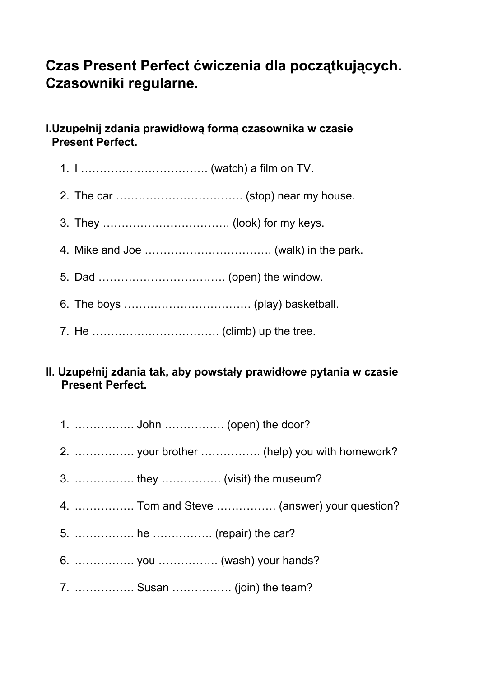## **Czas Present Perfect ćwiczenia dla początkujących. Czasowniki regularne.**

## **I.Uzupełnij zdania prawidłową formą czasownika w czasie Present Perfect.**

## **II. Uzupełnij zdania tak, aby powstały prawidłowe pytania w czasie Present Perfect.**

- 1. ……………. John ……………. (open) the door?
- 2. ……………. your brother ……………. (help) you with homework?
- 3. ……………. they ……………. (visit) the museum?
- 4. ……………. Tom and Steve ……………. (answer) your question?
- 5. ……………. he ……………. (repair) the car?
- 6. ……………. you ……………. (wash) your hands?
- 7. ……………. Susan ……………. (join) the team?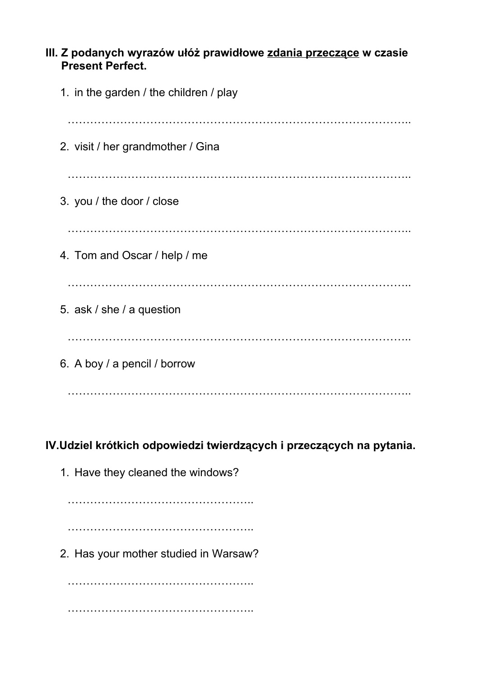## **III. Z podanych wyrazów ułóż prawidłowe zdania przeczącew czasie Present Perfect.** 1. in the garden / the children / play ……………………………………………………………………………….. 2. visit / her grandmother / Gina ……………………………………………………………………………….. 3. you / the door / close ……………………………………………………………………………….. 4. Tom and Oscar / help / me ……………………………………………………………………………….. 5. ask / she / a question ……………………………………………………………………………….. 6. A boy / a pencil / borrow ………………………………………………………………………………..

**IV.Udziel krótkich odpowiedzi twierdzących i przeczących na pytania.**

1. Have they cleaned the windows?

…………………………………………………………… …………………………………………..

2. Has your mother studied in Warsaw?

………………………………………….. ………………………………………………………………………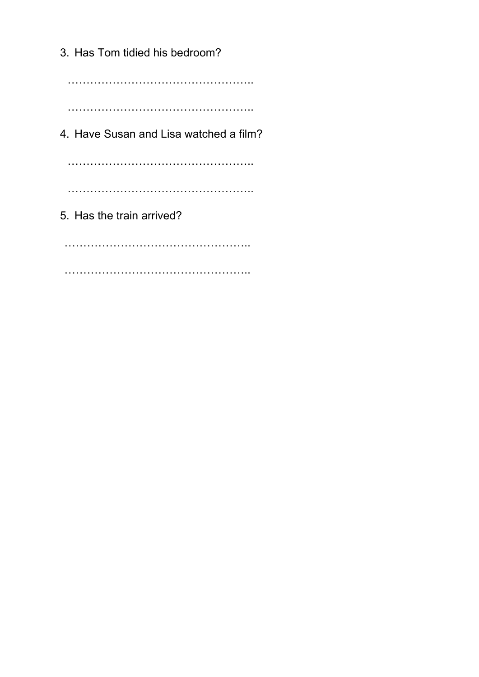3. Has Tom tidied his bedroom?

………………………………………….. …………………………………………..

4. Have Susan and Lisa watched a film?

…………………………………………..

…………………………………………..

5. Has the train arrived?

………………………………………….. …………………………………………..